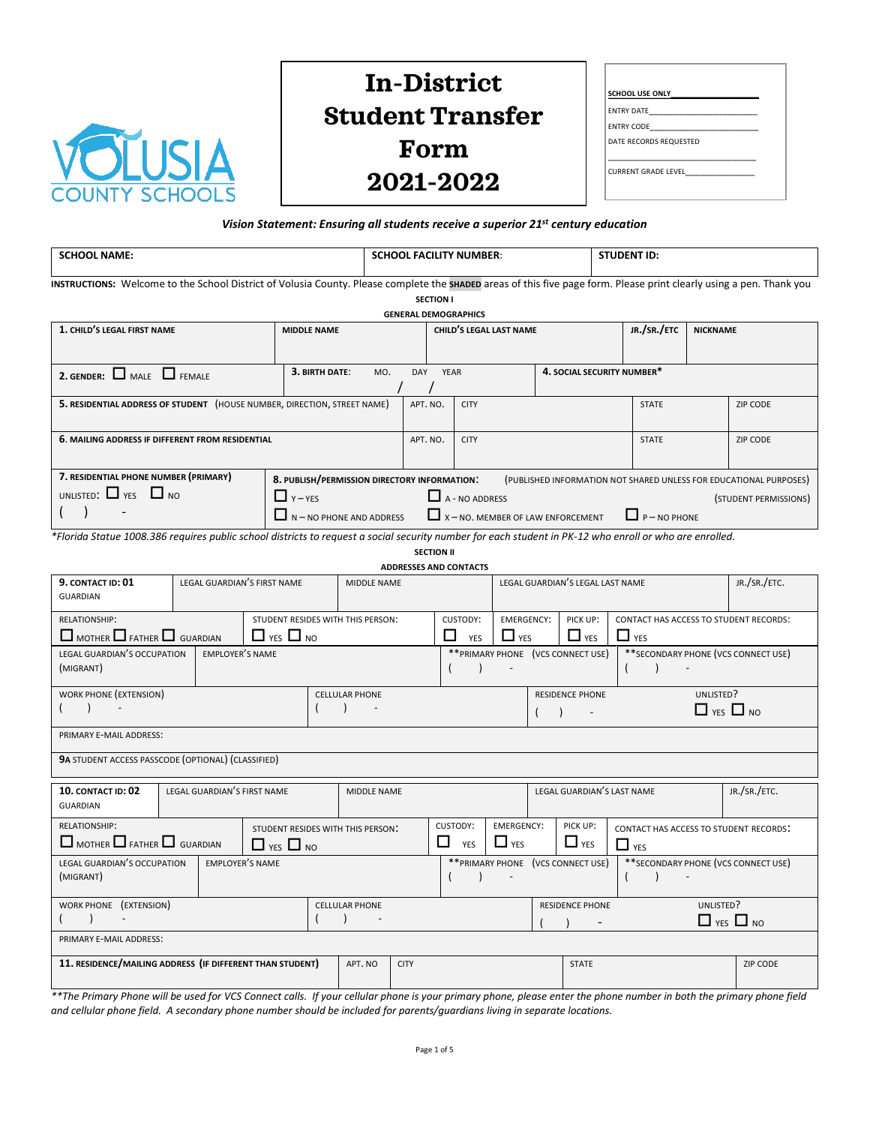

## **In-District Student Transfer Form 2021-2022**

| <b>SCHOOL USE ONLY</b> |  |
|------------------------|--|
| <b>ENTRY DATE</b>      |  |
| ENTRY CODE             |  |
| DATE RECORDS REQUESTED |  |
| CURRENT GRADE LEVEL    |  |

## *Vision Statement: Ensuring all students receive a superior 21st century education*

| <b>SCHOOL NAME:</b>                                                                                                                                                  |                                                                                                                                                                              |                             |  |                      |                                              | <b>SCHOOL FACILITY NUMBER:</b> |                                           |                                |                                 |                           | <b>STUDENT ID:</b>                       |                                                        |                      |                                                                    |
|----------------------------------------------------------------------------------------------------------------------------------------------------------------------|------------------------------------------------------------------------------------------------------------------------------------------------------------------------------|-----------------------------|--|----------------------|----------------------------------------------|--------------------------------|-------------------------------------------|--------------------------------|---------------------------------|---------------------------|------------------------------------------|--------------------------------------------------------|----------------------|--------------------------------------------------------------------|
| INSTRUCTIONS: Welcome to the School District of Volusia County. Please complete the SHADED areas of this five page form. Please print clearly using a pen. Thank you |                                                                                                                                                                              |                             |  |                      |                                              |                                |                                           |                                |                                 |                           |                                          |                                                        |                      |                                                                    |
|                                                                                                                                                                      |                                                                                                                                                                              |                             |  |                      |                                              | <b>GENERAL DEMOGRAPHICS</b>    | <b>SECTION I</b>                          |                                |                                 |                           |                                          |                                                        |                      |                                                                    |
| 1. CHILD'S LEGAL FIRST NAME<br><b>MIDDLE NAME</b>                                                                                                                    |                                                                                                                                                                              |                             |  |                      |                                              |                                |                                           | <b>CHILD'S LEGAL LAST NAME</b> |                                 |                           | JR./SR./ETC                              | <b>NICKNAME</b>                                        |                      |                                                                    |
|                                                                                                                                                                      |                                                                                                                                                                              |                             |  |                      |                                              |                                |                                           |                                |                                 |                           |                                          |                                                        |                      |                                                                    |
| 2. GENDER: $\Box$ MALE $\Box$ FEMALE                                                                                                                                 |                                                                                                                                                                              |                             |  | 3. BIRTH DATE:       | MO.                                          |                                | 4. SOCIAL SECURITY NUMBER*<br>DAY<br>YEAR |                                |                                 |                           |                                          |                                                        |                      |                                                                    |
| 5. RESIDENTIAL ADDRESS OF STUDENT (HOUSE NUMBER, DIRECTION, STREET NAME)                                                                                             |                                                                                                                                                                              |                             |  |                      |                                              |                                | APT. NO.                                  | <b>CITY</b>                    |                                 |                           |                                          | <b>STATE</b>                                           |                      | <b>ZIP CODE</b>                                                    |
| 6. MAILING ADDRESS IF DIFFERENT FROM RESIDENTIAL                                                                                                                     |                                                                                                                                                                              |                             |  |                      |                                              |                                | APT. NO.                                  | <b>CITY</b>                    |                                 |                           |                                          | <b>STATE</b>                                           |                      | <b>ZIP CODE</b>                                                    |
| 7. RESIDENTIAL PHONE NUMBER (PRIMARY)                                                                                                                                |                                                                                                                                                                              |                             |  |                      | 8. PUBLISH/PERMISSION DIRECTORY INFORMATION: |                                |                                           |                                |                                 |                           |                                          |                                                        |                      | (PUBLISHED INFORMATION NOT SHARED UNLESS FOR EDUCATIONAL PURPOSES) |
| UNLISTED: $\Box$ YES $\Box$ NO                                                                                                                                       |                                                                                                                                                                              |                             |  | $\prod$ Y – YES      |                                              |                                |                                           | $\Box$ A - NO ADDRESS          |                                 |                           |                                          |                                                        |                      | (STUDENT PERMISSIONS)                                              |
| $\lambda$                                                                                                                                                            |                                                                                                                                                                              |                             |  |                      | $\Box$ N – NO PHONE AND ADDRESS              |                                |                                           |                                |                                 |                           | $\Box$ x - NO. MEMBER OF LAW ENFORCEMENT | $P - NO PHONE$                                         |                      |                                                                    |
|                                                                                                                                                                      | *Florida Statue 1008.386 requires public school districts to request a social security number for each student in PK-12 who enroll or who are enrolled.<br><b>SECTION II</b> |                             |  |                      |                                              |                                |                                           |                                |                                 |                           |                                          |                                                        |                      |                                                                    |
| 9. CONTACT ID: 01                                                                                                                                                    |                                                                                                                                                                              | LEGAL GUARDIAN'S FIRST NAME |  |                      | MIDDLE NAME                                  | <b>ADDRESSES AND CONTACTS</b>  |                                           |                                |                                 |                           | LEGAL GUARDIAN'S LEGAL LAST NAME         |                                                        |                      | JR./SR./ETC.                                                       |
| <b>GUARDIAN</b>                                                                                                                                                      |                                                                                                                                                                              |                             |  |                      |                                              |                                |                                           |                                |                                 |                           |                                          |                                                        |                      |                                                                    |
| RELATIONSHIP:<br>$\Box$ MOTHER $\Box$ FATHER $\Box$ GUARDIAN                                                                                                         |                                                                                                                                                                              |                             |  | $\Box$ yes $\Box$ no | STUDENT RESIDES WITH THIS PERSON:            |                                | ΙI                                        | CUSTODY:<br><b>YES</b>         | <b>EMERGENCY:</b><br>$\Box$ YES |                           | PICK UP:<br>$\Box$ YES                   | CONTACT HAS ACCESS TO STUDENT RECORDS:<br>$\Box$ YES   |                      |                                                                    |
| LEGAL GUARDIAN'S OCCUPATION<br>(MIGRANT)                                                                                                                             |                                                                                                                                                                              | <b>EMPLOYER'S NAME</b>      |  |                      |                                              |                                | $\overline{ }$                            | $\lambda$                      |                                 |                           | ** PRIMARY PHONE (VCS CONNECT USE)       | ** SECONDARY PHONE (VCS CONNECT USE)<br>(<br>$\lambda$ |                      |                                                                    |
| WORK PHONE (EXTENSION)                                                                                                                                               |                                                                                                                                                                              |                             |  |                      | <b>CELLULAR PHONE</b>                        |                                |                                           |                                |                                 |                           | <b>RESIDENCE PHONE</b>                   |                                                        | UNLISTED?            |                                                                    |
| $\lambda$                                                                                                                                                            |                                                                                                                                                                              |                             |  | $\left($             | $\lambda$                                    |                                |                                           |                                |                                 | $\left($<br>$\rightarrow$ |                                          |                                                        | $\Box$ YES $\Box$ NO |                                                                    |
| PRIMARY E-MAIL ADDRESS:                                                                                                                                              |                                                                                                                                                                              |                             |  |                      |                                              |                                |                                           |                                |                                 |                           |                                          |                                                        |                      |                                                                    |
| 9A STUDENT ACCESS PASSCODE (OPTIONAL) (CLASSIFIED)                                                                                                                   |                                                                                                                                                                              |                             |  |                      |                                              |                                |                                           |                                |                                 |                           |                                          |                                                        |                      |                                                                    |
| 10. CONTACT ID: 02<br><b>GUARDIAN</b>                                                                                                                                |                                                                                                                                                                              | LEGAL GUARDIAN'S FIRST NAME |  |                      | <b>MIDDLE NAME</b>                           |                                |                                           |                                |                                 |                           | LEGAL GUARDIAN'S LAST NAME               |                                                        |                      | JR./SR./ETC.                                                       |
| <b>RELATIONSHIP:</b>                                                                                                                                                 |                                                                                                                                                                              |                             |  |                      | STUDENT RESIDES WITH THIS PERSON:            |                                |                                           | CUSTODY:                       | <b>EMERGENCY:</b>               |                           | PICK UP:                                 | <b>CONTACT HAS ACCESS TO STUDENT RECORDS:</b>          |                      |                                                                    |
| $\Box$ MOTHER $\Box$ FATHER $\Box$ GUARDIAN                                                                                                                          |                                                                                                                                                                              |                             |  | $\Box$ YES $\Box$ NO |                                              |                                |                                           | $\Box$ YES                     | $\Box$ YES                      |                           | $\Box$ YES                               | $\Box$ YES                                             |                      |                                                                    |
| LEGAL GUARDIAN'S OCCUPATION<br>(MIGRANT)                                                                                                                             |                                                                                                                                                                              | <b>EMPLOYER'S NAME</b>      |  |                      |                                              |                                |                                           | $\lambda$                      |                                 |                           | ** PRIMARY PHONE (VCS CONNECT USE)       | ** SECONDARY PHONE (VCS CONNECT USE)<br>$\lambda$      |                      |                                                                    |
| WORK PHONE (EXTENSION)                                                                                                                                               |                                                                                                                                                                              |                             |  | $\overline{ }$       | <b>CELLULAR PHONE</b><br>$\lambda$           |                                | <b>RESIDENCE PHONE</b>                    |                                |                                 |                           | UNLISTED?<br>$\Box$ YES $\Box$ NO        |                                                        |                      |                                                                    |
| PRIMARY E-MAIL ADDRESS:                                                                                                                                              |                                                                                                                                                                              |                             |  |                      |                                              |                                |                                           |                                |                                 |                           |                                          |                                                        |                      |                                                                    |
| 11. RESIDENCE/MAILING ADDRESS (IF DIFFERENT THAN STUDENT)                                                                                                            |                                                                                                                                                                              |                             |  |                      | APT, NO                                      | <b>CITY</b>                    |                                           |                                |                                 |                           | <b>STATE</b>                             |                                                        |                      | ZIP CODE                                                           |

*\*\*The Primary Phone will be used for VCS Connect calls. If your cellular phone is your primary phone, please enter the phone number in both the primary phone field and cellular phone field. A secondary phone number should be included for parents/guardians living in separate locations.*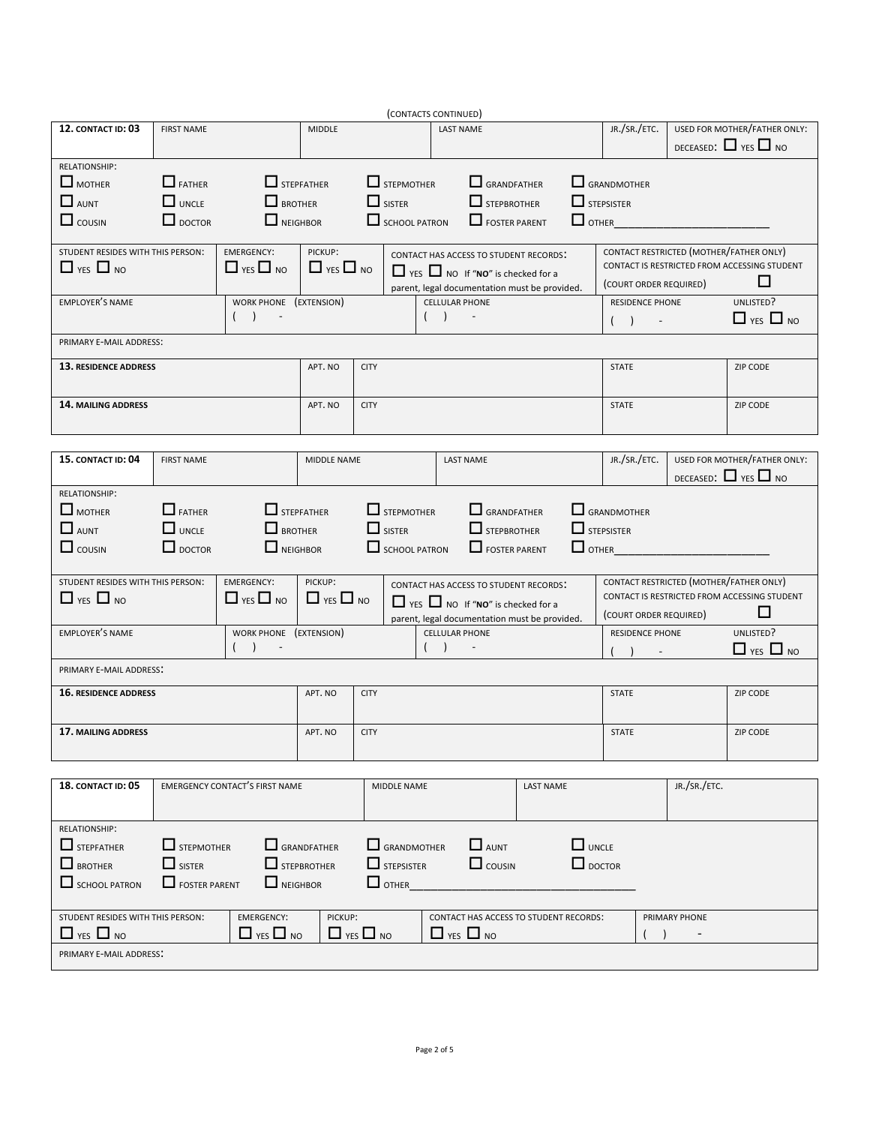| (CONTACTS CONTINUED)              |                      |                                       |                      |                      |                    |                       |                                               |           |                   |                    |                 |                              |                                              |
|-----------------------------------|----------------------|---------------------------------------|----------------------|----------------------|--------------------|-----------------------|-----------------------------------------------|-----------|-------------------|--------------------|-----------------|------------------------------|----------------------------------------------|
| 12. CONTACT ID: 03                | <b>FIRST NAME</b>    | <b>MIDDLE</b>                         |                      |                      | <b>LAST NAME</b>   |                       |                                               |           | JR./SR./ETC.      |                    |                 | USED FOR MOTHER/FATHER ONLY: |                                              |
|                                   |                      |                                       |                      |                      |                    |                       |                                               |           |                   |                    |                 |                              | DECEASED: $\Box$ YES $\Box$ NO               |
| RELATIONSHIP:                     |                      |                                       |                      |                      |                    |                       |                                               |           |                   |                    |                 |                              |                                              |
| $\Box$ MOTHER                     | $\Box$ FATHER        | $\Box$ STEPFATHER                     |                      |                      | $\Box$ STEPMOTHER  |                       | $\Box$ GRANDFATHER                            |           |                   | $\Box$ GRANDMOTHER |                 |                              |                                              |
|                                   |                      |                                       |                      |                      |                    |                       |                                               |           |                   |                    |                 |                              |                                              |
| $\Box$ AUNT                       | $\Box$ UNCLE         | $\Box$ BROTHER                        |                      |                      | $\Box$ SISTER      |                       | $\Box$ STEPBROTHER                            |           | $\Box$ STEPSISTER |                    |                 |                              |                                              |
| $\Box$ cousin                     | $\Box$ DOCTOR        | $\Box$ NEIGHBOR                       |                      |                      | SCHOOL PATRON      |                       | FOSTER PARENT                                 |           | $\Box$ OTHER      |                    |                 |                              |                                              |
|                                   |                      |                                       |                      |                      |                    |                       |                                               |           |                   |                    |                 |                              |                                              |
| STUDENT RESIDES WITH THIS PERSON: |                      | <b>EMERGENCY:</b>                     | PICKUP:              |                      |                    |                       | CONTACT HAS ACCESS TO STUDENT RECORDS:        |           |                   |                    |                 |                              | CONTACT RESTRICTED (MOTHER/FATHER ONLY)      |
| $\Box$ YES $\Box$ NO              |                      | $\Box$ YES $\Box$ NO                  | $\Box$ YES $\Box$ NO |                      |                    |                       | $\Box$ YES $\Box$ NO If "NO" is checked for a |           |                   |                    |                 |                              | CONTACT IS RESTRICTED FROM ACCESSING STUDENT |
|                                   |                      |                                       |                      |                      |                    |                       | parent, legal documentation must be provided. |           |                   |                    |                 | (COURT ORDER REQUIRED)       | ப                                            |
| <b>EMPLOYER'S NAME</b>            |                      | WORK PHONE (EXTENSION)                |                      |                      |                    | <b>CELLULAR PHONE</b> |                                               |           |                   |                    | RESIDENCE PHONE |                              | UNLISTED?                                    |
|                                   |                      | ( )<br>$\sim 100$                     |                      |                      |                    | (                     | $\sim 10^{-10}$                               |           |                   | $( )$ $-$          |                 |                              | $\Box$ YES $\Box$ NO                         |
|                                   |                      |                                       |                      |                      |                    |                       |                                               |           |                   |                    |                 |                              |                                              |
| PRIMARY E-MAIL ADDRESS:           |                      |                                       |                      |                      |                    |                       |                                               |           |                   |                    |                 |                              |                                              |
| 13. RESIDENCE ADDRESS             |                      |                                       | APT. NO              | <b>CITY</b>          |                    |                       |                                               |           |                   | <b>STATE</b>       |                 |                              | ZIP CODE                                     |
|                                   |                      |                                       |                      |                      |                    |                       |                                               |           |                   |                    |                 |                              |                                              |
|                                   |                      |                                       |                      |                      |                    |                       |                                               |           |                   |                    |                 |                              |                                              |
| <b>14. MAILING ADDRESS</b>        |                      |                                       | APT, NO              | <b>CITY</b>          |                    |                       |                                               |           |                   | <b>STATE</b>       |                 |                              | ZIP CODE                                     |
|                                   |                      |                                       |                      |                      |                    |                       |                                               |           |                   |                    |                 |                              |                                              |
|                                   |                      |                                       |                      |                      |                    |                       |                                               |           |                   |                    |                 |                              |                                              |
| 15. CONTACT ID: 04                | <b>FIRST NAME</b>    |                                       | MIDDLE NAME          |                      |                    |                       | <b>LAST NAME</b>                              |           |                   | JR./SR./ETC.       |                 |                              | USED FOR MOTHER/FATHER ONLY:                 |
|                                   |                      |                                       |                      |                      |                    |                       |                                               |           |                   |                    |                 |                              | DECEASED: $\Box$ YES $\Box$ NO               |
| RELATIONSHIP:                     |                      |                                       |                      |                      |                    |                       |                                               |           |                   |                    |                 |                              |                                              |
| $\Box$ MOTHER                     | $\Box$ FATHER        | $\Box$ STEPFATHER                     |                      |                      | $\Box$ STEPMOTHER  |                       | $\Box$ GRANDFATHER                            |           |                   | $\Box$ GRANDMOTHER |                 |                              |                                              |
| $\Box$ AUNT                       | $\Box$ UNCLE         | $\Box$ BROTHER                        |                      |                      | $\Box$ SISTER      |                       | STEPBROTHER                                   |           | $\Box$ STEPSISTER |                    |                 |                              |                                              |
|                                   |                      |                                       |                      |                      |                    |                       |                                               |           |                   |                    |                 |                              |                                              |
| $\Box$ cousin                     | $\Box$ DOCTOR        | $\Box$ NEIGHBOR                       |                      |                      |                    | SCHOOL PATRON         | $\Box$ FOSTER PARENT                          |           |                   | $\Box$ OTHER       |                 |                              |                                              |
|                                   |                      |                                       |                      |                      |                    |                       |                                               |           |                   |                    |                 |                              |                                              |
| STUDENT RESIDES WITH THIS PERSON: |                      | EMERGENCY:                            | PICKUP:              |                      |                    |                       | <b>CONTACT HAS ACCESS TO STUDENT RECORDS:</b> |           |                   |                    |                 |                              | CONTACT RESTRICTED (MOTHER/FATHER ONLY)      |
| $\Box$ YES $\Box$ NO              |                      | $\Box$ YES $\Box$ NO                  | $\Box$ YES $\Box$ NO |                      |                    |                       | $\Box$ YES $\Box$ NO If "NO" is checked for a |           |                   |                    |                 |                              | CONTACT IS RESTRICTED FROM ACCESSING STUDENT |
|                                   |                      |                                       |                      |                      |                    |                       | parent, legal documentation must be provided. |           |                   |                    |                 | (COURT ORDER REQUIRED)       | ப                                            |
| <b>EMPLOYER'S NAME</b>            |                      | WORK PHONE (EXTENSION)                |                      |                      |                    | <b>CELLULAR PHONE</b> |                                               |           |                   |                    | RESIDENCE PHONE |                              | UNLISTED?                                    |
|                                   |                      | $( )$ -                               |                      |                      |                    | $( )$ -               |                                               |           |                   |                    | $( )$ $-$       |                              | $\Box$ YES $\Box$ NO                         |
| PRIMARY E-MAIL ADDRESS:           |                      |                                       |                      |                      |                    |                       |                                               |           |                   |                    |                 |                              |                                              |
|                                   |                      |                                       |                      |                      |                    |                       |                                               |           |                   |                    |                 |                              |                                              |
| <b>16. RESIDENCE ADDRESS</b>      |                      |                                       | APT. NO              | <b>CITY</b>          |                    |                       |                                               |           |                   | <b>STATE</b>       |                 |                              | ZIP CODE                                     |
|                                   |                      |                                       |                      |                      |                    |                       |                                               |           |                   |                    |                 |                              |                                              |
| 17. MAILING ADDRESS               |                      |                                       | APT. NO              | <b>CITY</b>          |                    |                       |                                               |           |                   | <b>STATE</b>       |                 |                              | ZIP CODE                                     |
|                                   |                      |                                       |                      |                      |                    |                       |                                               |           |                   |                    |                 |                              |                                              |
|                                   |                      |                                       |                      |                      |                    |                       |                                               |           |                   |                    |                 |                              |                                              |
| 18. CONTACT ID: 05                |                      | <b>EMERGENCY CONTACT'S FIRST NAME</b> |                      |                      |                    |                       |                                               |           |                   |                    |                 | JR./SR./ETC.                 |                                              |
|                                   |                      |                                       |                      |                      | MIDDLE NAME        |                       |                                               | LAST NAME |                   |                    |                 |                              |                                              |
|                                   |                      |                                       |                      |                      |                    |                       |                                               |           |                   |                    |                 |                              |                                              |
| RELATIONSHIP:                     |                      |                                       |                      |                      |                    |                       |                                               |           |                   |                    |                 |                              |                                              |
| $\Box$ STEPFATHER                 | $\Box$ STEPMOTHER    |                                       | $\Box$ GRANDFATHER   |                      | $\Box$ GRANDMOTHER |                       | $\Box$ AUNT                                   |           | $\Box$ UNCLE      |                    |                 |                              |                                              |
| $\Box$ BROTHER                    | $\Box$ SISTER        |                                       | $\Box$ STEPBROTHER   |                      | $\Box$ STEPSISTER  |                       | $\Box$ COUSIN                                 |           | $\Box$ DOCTOR     |                    |                 |                              |                                              |
|                                   |                      |                                       |                      |                      |                    |                       |                                               |           |                   |                    |                 |                              |                                              |
| $\Box$ SCHOOL PATRON              | $\Box$ FOSTER PARENT | NEIGHBOR                              |                      |                      | $\Box$ OTHER       |                       |                                               |           |                   |                    |                 |                              |                                              |
|                                   |                      |                                       |                      |                      |                    |                       |                                               |           |                   |                    |                 |                              |                                              |
| STUDENT RESIDES WITH THIS PERSON: |                      | <b>EMERGENCY:</b>                     | PICKUP:              |                      |                    |                       | CONTACT HAS ACCESS TO STUDENT RECORDS:        |           |                   |                    |                 | PRIMARY PHONE                |                                              |
|                                   |                      |                                       |                      | $\Box$ YES $\Box$ NO |                    |                       |                                               |           |                   |                    |                 |                              |                                              |
| $\Box$ YES $\Box$ NO              |                      | $\Box$ YES $\Box$ NO                  |                      |                      |                    |                       | $\Box$ YES $\Box$ NO                          |           |                   |                    |                 |                              |                                              |
| PRIMARY E-MAIL ADDRESS:           |                      |                                       |                      |                      |                    |                       |                                               |           |                   |                    |                 |                              |                                              |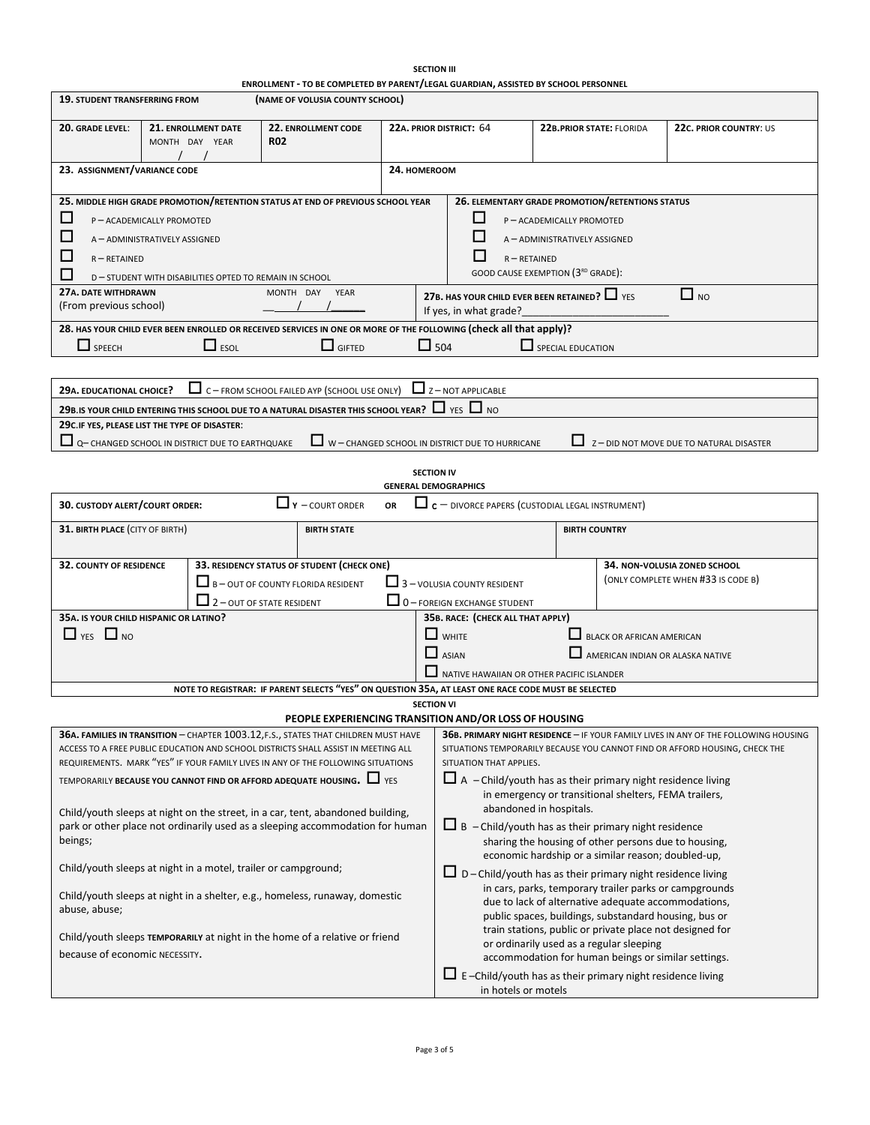|                                               |                                                                            |                                                                                                                                                                                                                                                               |                                                                                                                                                                                                      | <b>SECTION III</b>                                                        |                                                                                                                                                                        |                                                                                     |
|-----------------------------------------------|----------------------------------------------------------------------------|---------------------------------------------------------------------------------------------------------------------------------------------------------------------------------------------------------------------------------------------------------------|------------------------------------------------------------------------------------------------------------------------------------------------------------------------------------------------------|---------------------------------------------------------------------------|------------------------------------------------------------------------------------------------------------------------------------------------------------------------|-------------------------------------------------------------------------------------|
| 19. STUDENT TRANSFERRING FROM                 |                                                                            | ENROLLMENT - TO BE COMPLETED BY PARENT/LEGAL GUARDIAN, ASSISTED BY SCHOOL PERSONNEL<br>(NAME OF VOLUSIA COUNTY SCHOOL)                                                                                                                                        |                                                                                                                                                                                                      |                                                                           |                                                                                                                                                                        |                                                                                     |
|                                               |                                                                            |                                                                                                                                                                                                                                                               |                                                                                                                                                                                                      |                                                                           |                                                                                                                                                                        |                                                                                     |
| 20. GRADE LEVEL:                              | 21. ENROLLMENT DATE<br>22. ENROLLMENT CODE<br><b>R02</b><br>MONTH DAY YEAR |                                                                                                                                                                                                                                                               |                                                                                                                                                                                                      | 22A. PRIOR DISTRICT: 64                                                   | <b>22B.PRIOR STATE: FLORIDA</b>                                                                                                                                        | 22c. PRIOR COUNTRY: US                                                              |
| 23. ASSIGNMENT/VARIANCE CODE                  |                                                                            |                                                                                                                                                                                                                                                               | 24. HOMEROOM                                                                                                                                                                                         |                                                                           |                                                                                                                                                                        |                                                                                     |
| □                                             |                                                                            | 25. MIDDLE HIGH GRADE PROMOTION/RETENTION STATUS AT END OF PREVIOUS SCHOOL YEAR                                                                                                                                                                               |                                                                                                                                                                                                      | ப                                                                         | 26. ELEMENTARY GRADE PROMOTION/RETENTIONS STATUS<br>P-ACADEMICALLY PROMOTED                                                                                            |                                                                                     |
| ப                                             | P-ACADEMICALLY PROMOTED<br>A - ADMINISTRATIVELY ASSIGNED                   |                                                                                                                                                                                                                                                               |                                                                                                                                                                                                      |                                                                           | A-ADMINISTRATIVELY ASSIGNED                                                                                                                                            |                                                                                     |
| ⊔<br>$R - RETAINED$<br>$\mathsf{L}$           | D-STUDENT WITH DISABILITIES OPTED TO REMAIN IN SCHOOL                      |                                                                                                                                                                                                                                                               |                                                                                                                                                                                                      |                                                                           | $R - RETAINED$<br>GOOD CAUSE EXEMPTION (3RD GRADE):                                                                                                                    |                                                                                     |
| 27A. DATE WITHDRAWN<br>(From previous school) |                                                                            | MONTH DAY<br>YEAR                                                                                                                                                                                                                                             |                                                                                                                                                                                                      | If yes, in what grade?                                                    | 27B. HAS YOUR CHILD EVER BEEN RETAINED? $\Box$ YES                                                                                                                     | $\Box$ NO                                                                           |
| $\Box$ SPEECH                                 | $\Box$ ESOL                                                                | 28. HAS YOUR CHILD EVER BEEN ENROLLED OR RECEIVED SERVICES IN ONE OR MORE OF THE FOLLOWING (check all that apply)?<br>$\Box$ GIFTED                                                                                                                           |                                                                                                                                                                                                      | $\Box$ 504                                                                | SPECIAL EDUCATION                                                                                                                                                      |                                                                                     |
|                                               |                                                                            |                                                                                                                                                                                                                                                               |                                                                                                                                                                                                      |                                                                           |                                                                                                                                                                        |                                                                                     |
| 29A. EDUCATIONAL CHOICE?                      |                                                                            | $\Box$ C – FROM SCHOOL FAILED AYP (SCHOOL USE ONLY)<br>29B. IS YOUR CHILD ENTERING THIS SCHOOL DUE TO A NATURAL DISASTER THIS SCHOOL YEAR? $\Box$ YES $\Box$ NO                                                                                               |                                                                                                                                                                                                      | $2 - NOT APPLICATION$                                                     |                                                                                                                                                                        |                                                                                     |
|                                               | 29C.IF YES, PLEASE LIST THE TYPE OF DISASTER:                              |                                                                                                                                                                                                                                                               |                                                                                                                                                                                                      |                                                                           |                                                                                                                                                                        |                                                                                     |
|                                               | Q- CHANGED SCHOOL IN DISTRICT DUE TO EARTHQUAKE                            |                                                                                                                                                                                                                                                               |                                                                                                                                                                                                      | W - CHANGED SCHOOL IN DISTRICT DUE TO HURRICANE                           |                                                                                                                                                                        | Z-DID NOT MOVE DUE TO NATURAL DISASTER                                              |
|                                               |                                                                            |                                                                                                                                                                                                                                                               |                                                                                                                                                                                                      | <b>SECTION IV</b><br><b>GENERAL DEMOGRAPHICS</b>                          |                                                                                                                                                                        |                                                                                     |
| 30. CUSTODY ALERT/COURT ORDER:                |                                                                            | $\Box$ Y - COURT ORDER                                                                                                                                                                                                                                        | OR                                                                                                                                                                                                   |                                                                           | $\Box$ c – DIVORCE PAPERS (CUSTODIAL LEGAL INSTRUMENT)                                                                                                                 |                                                                                     |
| 31. BIRTH PLACE (CITY OF BIRTH)               |                                                                            | <b>BIRTH STATE</b>                                                                                                                                                                                                                                            |                                                                                                                                                                                                      |                                                                           | <b>BIRTH COUNTRY</b>                                                                                                                                                   |                                                                                     |
| <b>32. COUNTY OF RESIDENCE</b>                |                                                                            | 33. RESIDENCY STATUS OF STUDENT (CHECK ONE)<br>$\Box$ B – OUT OF COUNTY FLORIDA RESIDENT<br>$\Box$ 2 - OUT OF STATE RESIDENT                                                                                                                                  |                                                                                                                                                                                                      | $\Box$ 3 - VOLUSIA COUNTY RESIDENT<br>$\Box$ 0 - FOREIGN EXCHANGE STUDENT |                                                                                                                                                                        | 34. NON-VOLUSIA ZONED SCHOOL<br>(ONLY COMPLETE WHEN #33 IS CODE B)                  |
|                                               | 35A. IS YOUR CHILD HISPANIC OR LATINO?                                     |                                                                                                                                                                                                                                                               |                                                                                                                                                                                                      | 35B. RACE: (CHECK ALL THAT APPLY)                                         |                                                                                                                                                                        |                                                                                     |
| $\Box$ YES $\Box$ NO                          |                                                                            |                                                                                                                                                                                                                                                               |                                                                                                                                                                                                      | $\Box$ WHITE                                                              | <b>BLACK OR AFRICAN AMERICAN</b>                                                                                                                                       |                                                                                     |
|                                               |                                                                            |                                                                                                                                                                                                                                                               |                                                                                                                                                                                                      | $\Box$ ASIAN                                                              |                                                                                                                                                                        | AMERICAN INDIAN OR ALASKA NATIVE                                                    |
|                                               |                                                                            |                                                                                                                                                                                                                                                               |                                                                                                                                                                                                      |                                                                           | NATIVE HAWAIIAN OR OTHER PACIFIC ISLANDER                                                                                                                              |                                                                                     |
|                                               |                                                                            | NOTE TO REGISTRAR: IF PARENT SELECTS "YES" ON QUESTION 35A, AT LEAST ONE RACE CODE MUST BE SELECTED                                                                                                                                                           |                                                                                                                                                                                                      |                                                                           |                                                                                                                                                                        |                                                                                     |
|                                               |                                                                            | PEOPLE EXPERIENCING TRANSITION AND/OR LOSS OF HOUSING                                                                                                                                                                                                         |                                                                                                                                                                                                      | <b>SECTION VI</b>                                                         |                                                                                                                                                                        |                                                                                     |
|                                               |                                                                            | 36A. FAMILIES IN TRANSITION - CHAPTER 1003.12, F.S., STATES THAT CHILDREN MUST HAVE<br>ACCESS TO A FREE PUBLIC EDUCATION AND SCHOOL DISTRICTS SHALL ASSIST IN MEETING ALL<br>REQUIREMENTS. MARK "YES" IF YOUR FAMILY LIVES IN ANY OF THE FOLLOWING SITUATIONS |                                                                                                                                                                                                      | SITUATION THAT APPLIES.                                                   | SITUATIONS TEMPORARILY BECAUSE YOU CANNOT FIND OR AFFORD HOUSING, CHECK THE                                                                                            | 36B. PRIMARY NIGHT RESIDENCE - IF YOUR FAMILY LIVES IN ANY OF THE FOLLOWING HOUSING |
|                                               |                                                                            | TEMPORARILY BECAUSE YOU CANNOT FIND OR AFFORD ADEQUATE HOUSING. $\Box$ YES                                                                                                                                                                                    | $\Box$ A - Child/youth has as their primary night residence living<br>in emergency or transitional shelters, FEMA trailers,                                                                          |                                                                           |                                                                                                                                                                        |                                                                                     |
| beings;                                       |                                                                            | Child/youth sleeps at night on the street, in a car, tent, abandoned building,<br>park or other place not ordinarily used as a sleeping accommodation for human                                                                                               | abandoned in hospitals.<br>$\Box$ B - Child/youth has as their primary night residence<br>sharing the housing of other persons due to housing,<br>economic hardship or a similar reason; doubled-up, |                                                                           |                                                                                                                                                                        |                                                                                     |
|                                               | Child/youth sleeps at night in a motel, trailer or campground;             |                                                                                                                                                                                                                                                               |                                                                                                                                                                                                      |                                                                           | $\Box$ D – Child/youth has as their primary night residence living                                                                                                     |                                                                                     |
| abuse, abuse;                                 |                                                                            | Child/youth sleeps at night in a shelter, e.g., homeless, runaway, domestic                                                                                                                                                                                   |                                                                                                                                                                                                      |                                                                           | in cars, parks, temporary trailer parks or campgrounds<br>due to lack of alternative adequate accommodations,<br>public spaces, buildings, substandard housing, bus or |                                                                                     |
| because of economic NECESSITY.                |                                                                            | Child/youth sleeps TEMPORARILY at night in the home of a relative or friend                                                                                                                                                                                   |                                                                                                                                                                                                      |                                                                           | train stations, public or private place not designed for<br>or ordinarily used as a regular sleeping<br>accommodation for human beings or similar settings.            |                                                                                     |
|                                               |                                                                            |                                                                                                                                                                                                                                                               |                                                                                                                                                                                                      |                                                                           | $\Box$ E-Child/youth has as their primary night residence living<br>in hotels or motels                                                                                |                                                                                     |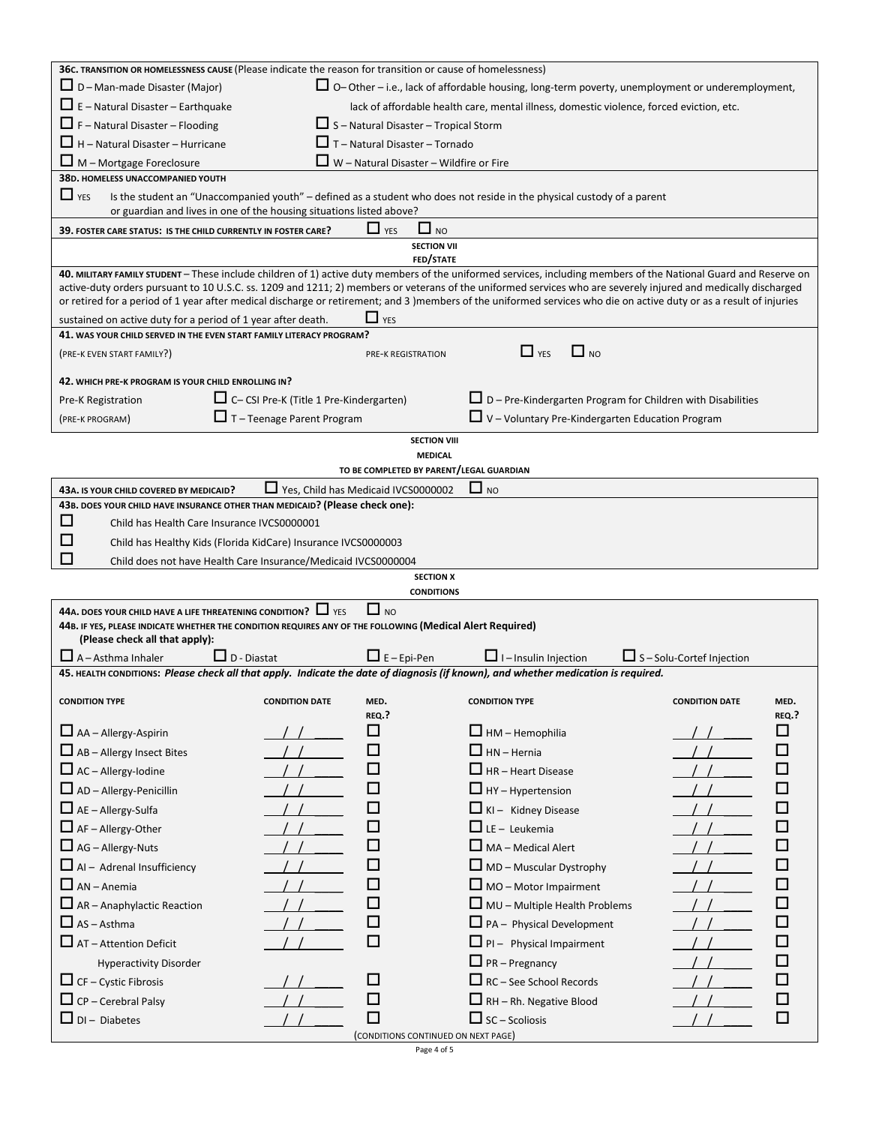| 36c. TRANSITION OR HOMELESSNESS CAUSE (Please indicate the reason for transition or cause of homelessness)                                  |                                                                      |                                                            |                                                                                                                                                                                                                                                                                                                                       |                                  |              |
|---------------------------------------------------------------------------------------------------------------------------------------------|----------------------------------------------------------------------|------------------------------------------------------------|---------------------------------------------------------------------------------------------------------------------------------------------------------------------------------------------------------------------------------------------------------------------------------------------------------------------------------------|----------------------------------|--------------|
| $\Box$ D – Man-made Disaster (Major)                                                                                                        |                                                                      |                                                            | $\Box$ O-Other – i.e., lack of affordable housing, long-term poverty, unemployment or underemployment,                                                                                                                                                                                                                                |                                  |              |
| $\Box$ E – Natural Disaster – Earthquake                                                                                                    |                                                                      |                                                            | lack of affordable health care, mental illness, domestic violence, forced eviction, etc.                                                                                                                                                                                                                                              |                                  |              |
| $\Box$ F – Natural Disaster – Flooding                                                                                                      |                                                                      | $\Box$ S – Natural Disaster – Tropical Storm               |                                                                                                                                                                                                                                                                                                                                       |                                  |              |
| $\Box$ H – Natural Disaster – Hurricane                                                                                                     |                                                                      | $\Box$ T – Natural Disaster – Tornado                      |                                                                                                                                                                                                                                                                                                                                       |                                  |              |
| M - Mortgage Foreclosure                                                                                                                    |                                                                      | $\Box$ W - Natural Disaster - Wildfire or Fire             |                                                                                                                                                                                                                                                                                                                                       |                                  |              |
| 38D. HOMELESS UNACCOMPANIED YOUTH                                                                                                           |                                                                      |                                                            |                                                                                                                                                                                                                                                                                                                                       |                                  |              |
| $\Box$ YES                                                                                                                                  | or guardian and lives in one of the housing situations listed above? |                                                            | Is the student an "Unaccompanied youth" - defined as a student who does not reside in the physical custody of a parent                                                                                                                                                                                                                |                                  |              |
| 39. FOSTER CARE STATUS: IS THE CHILD CURRENTLY IN FOSTER CARE?                                                                              |                                                                      | $\Box$ NO<br>$\Box$ YES                                    |                                                                                                                                                                                                                                                                                                                                       |                                  |              |
|                                                                                                                                             |                                                                      | <b>SECTION VII</b><br>FED/STATE                            |                                                                                                                                                                                                                                                                                                                                       |                                  |              |
|                                                                                                                                             |                                                                      |                                                            | 40. MILITARY FAMILY STUDENT - These include children of 1) active duty members of the uniformed services, including members of the National Guard and Reserve on                                                                                                                                                                      |                                  |              |
|                                                                                                                                             |                                                                      |                                                            | active-duty orders pursuant to 10 U.S.C. ss. 1209 and 1211; 2) members or veterans of the uniformed services who are severely injured and medically discharged<br>or retired for a period of 1 year after medical discharge or retirement; and 3 )members of the uniformed services who die on active duty or as a result of injuries |                                  |              |
| sustained on active duty for a period of 1 year after death.                                                                                |                                                                      | $\Box$ YES                                                 |                                                                                                                                                                                                                                                                                                                                       |                                  |              |
| 41. WAS YOUR CHILD SERVED IN THE EVEN START FAMILY LITERACY PROGRAM?                                                                        |                                                                      |                                                            |                                                                                                                                                                                                                                                                                                                                       |                                  |              |
| (PRE-K EVEN START FAMILY?)                                                                                                                  |                                                                      | <b>PRE-K REGISTRATION</b>                                  | $\Box$ YES<br>$\Box$ NO                                                                                                                                                                                                                                                                                                               |                                  |              |
| 42. WHICH PRE-K PROGRAM IS YOUR CHILD ENROLLING IN?                                                                                         |                                                                      |                                                            |                                                                                                                                                                                                                                                                                                                                       |                                  |              |
| Pre-K Registration                                                                                                                          | $\Box$ C-CSI Pre-K (Title 1 Pre-Kindergarten)                        |                                                            | $\Box$ D – Pre-Kindergarten Program for Children with Disabilities                                                                                                                                                                                                                                                                    |                                  |              |
| (PRE-K PROGRAM)                                                                                                                             | $\Box$ T – Teenage Parent Program                                    |                                                            | $\Box$ V – Voluntary Pre-Kindergarten Education Program                                                                                                                                                                                                                                                                               |                                  |              |
|                                                                                                                                             |                                                                      | <b>SECTION VIII</b>                                        |                                                                                                                                                                                                                                                                                                                                       |                                  |              |
|                                                                                                                                             |                                                                      | <b>MEDICAL</b><br>TO BE COMPLETED BY PARENT/LEGAL GUARDIAN |                                                                                                                                                                                                                                                                                                                                       |                                  |              |
| 43A. IS YOUR CHILD COVERED BY MEDICAID?                                                                                                     |                                                                      | Yes, Child has Medicaid IVCS0000002                        | $\Box$ NO                                                                                                                                                                                                                                                                                                                             |                                  |              |
| 43B. DOES YOUR CHILD HAVE INSURANCE OTHER THAN MEDICAID? (Please check one):                                                                |                                                                      |                                                            |                                                                                                                                                                                                                                                                                                                                       |                                  |              |
| ப<br>Child has Health Care Insurance IVCS0000001                                                                                            |                                                                      |                                                            |                                                                                                                                                                                                                                                                                                                                       |                                  |              |
| Ш                                                                                                                                           | Child has Healthy Kids (Florida KidCare) Insurance IVCS0000003       |                                                            |                                                                                                                                                                                                                                                                                                                                       |                                  |              |
| ΙI                                                                                                                                          | Child does not have Health Care Insurance/Medicaid IVCS0000004       |                                                            |                                                                                                                                                                                                                                                                                                                                       |                                  |              |
|                                                                                                                                             |                                                                      | <b>SECTION X</b>                                           |                                                                                                                                                                                                                                                                                                                                       |                                  |              |
|                                                                                                                                             |                                                                      | <b>CONDITIONS</b>                                          |                                                                                                                                                                                                                                                                                                                                       |                                  |              |
| 44A. DOES YOUR CHILD HAVE A LIFE THREATENING CONDITION? $\Box$ YES                                                                          |                                                                      | $\Box$ NO                                                  |                                                                                                                                                                                                                                                                                                                                       |                                  |              |
| 44B. IF YES, PLEASE INDICATE WHETHER THE CONDITION REQUIRES ANY OF THE FOLLOWING (Medical Alert Required)<br>(Please check all that apply): |                                                                      |                                                            |                                                                                                                                                                                                                                                                                                                                       |                                  |              |
| $\Box$ A – Asthma Inhaler                                                                                                                   | $\Box$ D - Diastat                                                   | $\Box$ E – Epi-Pen                                         | $\Box$ I – Insulin Injection                                                                                                                                                                                                                                                                                                          | $\Box$ S - Solu-Cortef Injection |              |
|                                                                                                                                             |                                                                      |                                                            | 45. HEALTH CONDITIONS: Please check all that apply. Indicate the date of diagnosis (if known), and whether medication is required.                                                                                                                                                                                                    |                                  |              |
|                                                                                                                                             |                                                                      |                                                            |                                                                                                                                                                                                                                                                                                                                       |                                  |              |
| <b>CONDITION TYPE</b>                                                                                                                       | <b>CONDITION DATE</b>                                                | MED.<br>REQ.?                                              | <b>CONDITION TYPE</b>                                                                                                                                                                                                                                                                                                                 | <b>CONDITION DATE</b>            | MED.         |
| $\Box$ AA – Allergy-Aspirin                                                                                                                 |                                                                      | □                                                          | $\Box$ HM – Hemophilia                                                                                                                                                                                                                                                                                                                |                                  | REQ.?<br>□   |
|                                                                                                                                             |                                                                      | □                                                          | $\Box$ HN - Hernia                                                                                                                                                                                                                                                                                                                    |                                  | $\mathbf{I}$ |
| $\Box$ AB – Allergy Insect Bites                                                                                                            |                                                                      | П                                                          |                                                                                                                                                                                                                                                                                                                                       |                                  | $\mathbf{I}$ |
| $\Box$ AC - Allergy-lodine                                                                                                                  |                                                                      |                                                            | $\Box$ HR - Heart Disease                                                                                                                                                                                                                                                                                                             |                                  |              |
| $\Box$ AD – Allergy-Penicillin                                                                                                              |                                                                      | П                                                          | $\Box$ HY – Hypertension                                                                                                                                                                                                                                                                                                              |                                  | Ш            |
| $\Box$ AE - Allergy-Sulfa                                                                                                                   |                                                                      | □                                                          | $\Box$ KI - Kidney Disease                                                                                                                                                                                                                                                                                                            |                                  |              |
| $\Box$ AF - Allergy-Other                                                                                                                   |                                                                      | П                                                          | $\Box$ LE - Leukemia                                                                                                                                                                                                                                                                                                                  |                                  |              |
| $\Box$ AG – Allergy-Nuts                                                                                                                    |                                                                      | П                                                          | $\Box$ MA - Medical Alert                                                                                                                                                                                                                                                                                                             |                                  |              |
| $\Box$ Al – Adrenal Insufficiency                                                                                                           |                                                                      | П                                                          | $\Box$ MD – Muscular Dystrophy                                                                                                                                                                                                                                                                                                        |                                  |              |
| $\Box$ AN - Anemia                                                                                                                          |                                                                      | $\Box$                                                     | $\Box$ MO – Motor Impairment                                                                                                                                                                                                                                                                                                          |                                  |              |
| $\Box$ AR – Anaphylactic Reaction                                                                                                           |                                                                      | □                                                          | $\Box$ MU – Multiple Health Problems                                                                                                                                                                                                                                                                                                  |                                  |              |
| $\Box$ AS - Asthma                                                                                                                          |                                                                      | □                                                          | $\Box$ PA - Physical Development                                                                                                                                                                                                                                                                                                      |                                  |              |
| $\Box$ AT – Attention Deficit                                                                                                               |                                                                      | □                                                          | $\Box$ PI - Physical Impairment                                                                                                                                                                                                                                                                                                       |                                  |              |
| <b>Hyperactivity Disorder</b>                                                                                                               |                                                                      |                                                            | $\Box$ PR – Pregnancy                                                                                                                                                                                                                                                                                                                 |                                  |              |
| $\Box$ CF – Cystic Fibrosis                                                                                                                 |                                                                      | ΙI                                                         | $\Box$ RC – See School Records                                                                                                                                                                                                                                                                                                        |                                  |              |
| $\Box$ CP – Cerebral Palsy                                                                                                                  |                                                                      | $\mathsf{L}$                                               | $\Box$ RH - Rh. Negative Blood                                                                                                                                                                                                                                                                                                        |                                  |              |
| $\Box$ DI - Diabetes                                                                                                                        |                                                                      | П                                                          | $\Box$ SC – Scoliosis                                                                                                                                                                                                                                                                                                                 |                                  |              |
|                                                                                                                                             |                                                                      | (CONDITIONS CONTINUED ON NEXT PAGE)                        |                                                                                                                                                                                                                                                                                                                                       |                                  |              |

Page 4 of 5